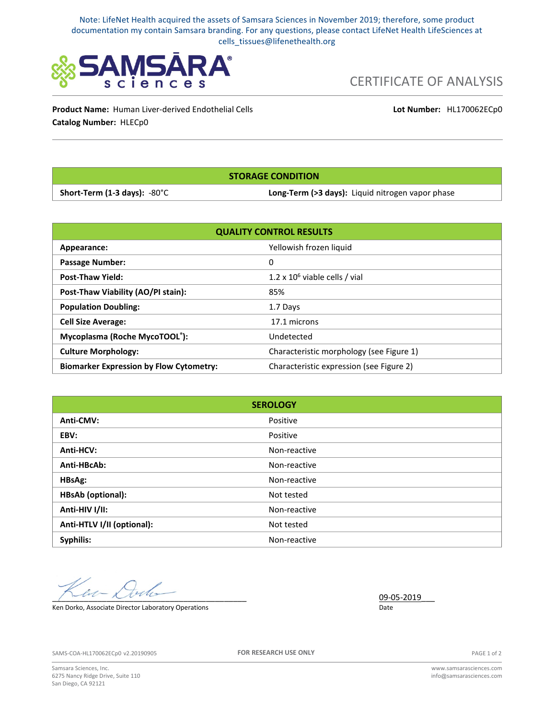Note: LifeNet Health acquired the assets of Samsara Sciences in November 2019; therefore, some product documentation my contain Samsara branding. For any questions, please contact LifeNet Health LifeSciences at cells\_tissues@lifenethealth.org



CERTIFICATE OF ANALYSIS

**Product Name:** Human Liver-derived Endothelial Cells **Catalog Number:** HLECp0

**Lot Number:** HL170062ECp0

**STORAGE CONDITION**

**Short-Term (1-3 days):** -80°C **Long-Term (>3 days):** Liquid nitrogen vapor phase

| <b>QUALITY CONTROL RESULTS</b>                 |                                          |
|------------------------------------------------|------------------------------------------|
| Appearance:                                    | Yellowish frozen liquid                  |
| <b>Passage Number:</b>                         | 0                                        |
| <b>Post-Thaw Yield:</b>                        | 1.2 x $10^6$ viable cells / vial         |
| Post-Thaw Viability (AO/PI stain):             | 85%                                      |
| <b>Population Doubling:</b>                    | 1.7 Days                                 |
| <b>Cell Size Average:</b>                      | 17.1 microns                             |
| Mycoplasma (Roche MycoTOOL®):                  | Undetected                               |
| <b>Culture Morphology:</b>                     | Characteristic morphology (see Figure 1) |
| <b>Biomarker Expression by Flow Cytometry:</b> | Characteristic expression (see Figure 2) |

| <b>SEROLOGY</b>            |              |
|----------------------------|--------------|
| Anti-CMV:                  | Positive     |
| EBV:                       | Positive     |
| Anti-HCV:                  | Non-reactive |
| Anti-HBcAb:                | Non-reactive |
| HBsAg:                     | Non-reactive |
| <b>HBsAb (optional):</b>   | Not tested   |
| Anti-HIV I/II:             | Non-reactive |
| Anti-HTLV I/II (optional): | Not tested   |
| Syphilis:                  | Non-reactive |

 $\frac{09-05-2019}{20}$ 

Ken Dorko, Associate Director Laboratory Operations **Communist Constructions** Date

SAMS-COA-HL170062ECp0 v2.20190905

**FOR RESEARCH USE ONLY**

PAGE 1 of 2

Samsara Sciences, Inc. 6275 Nancy Ridge Drive, Suite 110 San Diego, CA 92121

www.samsarasciences.com info@samsarasciences.com